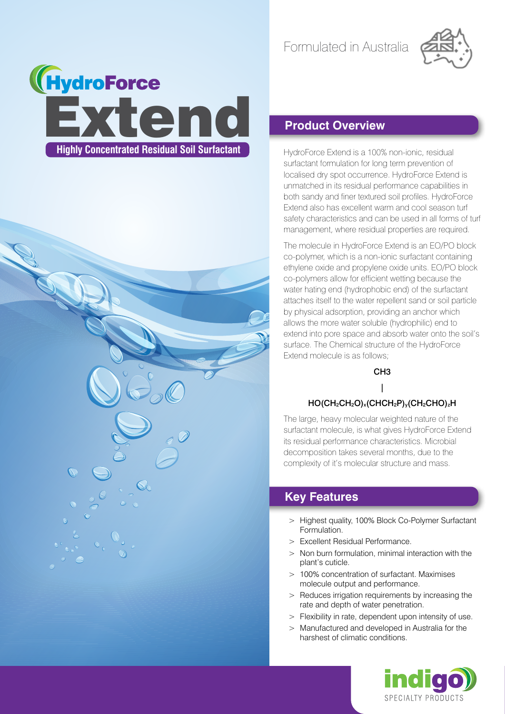Formulated in Australia







### **Product Overview**

HydroForce Extend is a 100% non-ionic, residual surfactant formulation for long term prevention of localised dry spot occurrence. HydroForce Extend is unmatched in its residual performance capabilities in both sandy and finer textured soil profiles. HydroForce Extend also has excellent warm and cool season turf safety characteristics and can be used in all forms of turf management, where residual properties are required.

The molecule in HydroForce Extend is an EO/PO block co-polymer, which is a non-ionic surfactant containing ethylene oxide and propylene oxide units. EO/PO block co-polymers allow for efficient wetting because the water hating end (hydrophobic end) of the surfactant attaches itself to the water repellent sand or soil particle by physical adsorption, providing an anchor which allows the more water soluble (hydrophilic) end to extend into pore space and absorb water onto the soil's surface. The Chemical structure of the HydroForce Extend molecule is as follows;

> CH3 |

#### HO(CH2CH2O)x(CHCH2P)y(CH2CHO)zH

The large, heavy molecular weighted nature of the surfactant molecule, is what gives HydroForce Extend its residual performance characteristics. Microbial decomposition takes several months, due to the complexity of it's molecular structure and mass.

#### **Key Features**

- > Highest quality, 100% Block Co-Polymer Surfactant Formulation.
- > Excellent Residual Performance.
- > Non burn formulation, minimal interaction with the plant's cuticle.
- > 100% concentration of surfactant. Maximises molecule output and performance.
- > Reduces irrigation requirements by increasing the rate and depth of water penetration.
- > Flexibility in rate, dependent upon intensity of use.
- > Manufactured and developed in Australia for the harshest of climatic conditions.